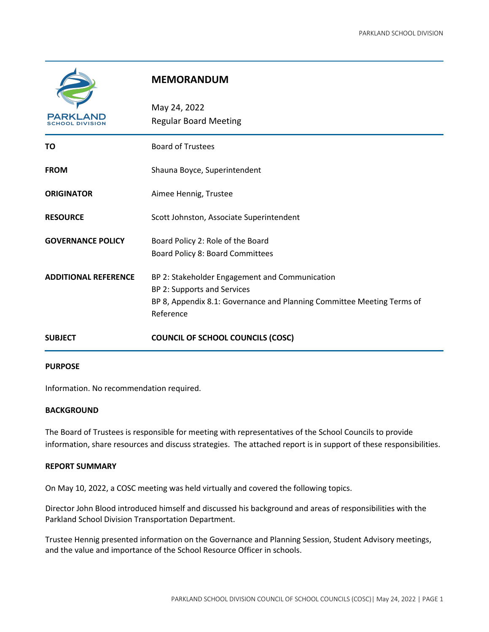|                             | <b>MEMORANDUM</b>                                                                                                                                                    |
|-----------------------------|----------------------------------------------------------------------------------------------------------------------------------------------------------------------|
| PARKL<br>HOOL DIVISION      | May 24, 2022<br><b>Regular Board Meeting</b>                                                                                                                         |
| ΤО                          | <b>Board of Trustees</b>                                                                                                                                             |
| <b>FROM</b>                 | Shauna Boyce, Superintendent                                                                                                                                         |
| <b>ORIGINATOR</b>           | Aimee Hennig, Trustee                                                                                                                                                |
| <b>RESOURCE</b>             | Scott Johnston, Associate Superintendent                                                                                                                             |
| <b>GOVERNANCE POLICY</b>    | Board Policy 2: Role of the Board<br>Board Policy 8: Board Committees                                                                                                |
| <b>ADDITIONAL REFERENCE</b> | BP 2: Stakeholder Engagement and Communication<br>BP 2: Supports and Services<br>BP 8, Appendix 8.1: Governance and Planning Committee Meeting Terms of<br>Reference |
| <b>SUBJECT</b>              | <b>COUNCIL OF SCHOOL COUNCILS (COSC)</b>                                                                                                                             |

## **PURPOSE**

Information. No recommendation required.

## **BACKGROUND**

The Board of Trustees is responsible for meeting with representatives of the School Councils to provide information, share resources and discuss strategies. The attached report is in support of these responsibilities.

## **REPORT SUMMARY**

On May 10, 2022, a COSC meeting was held virtually and covered the following topics.

Director John Blood introduced himself and discussed his background and areas of responsibilities with the Parkland School Division Transportation Department.

Trustee Hennig presented information on the Governance and Planning Session, Student Advisory meetings, and the value and importance of the School Resource Officer in schools.